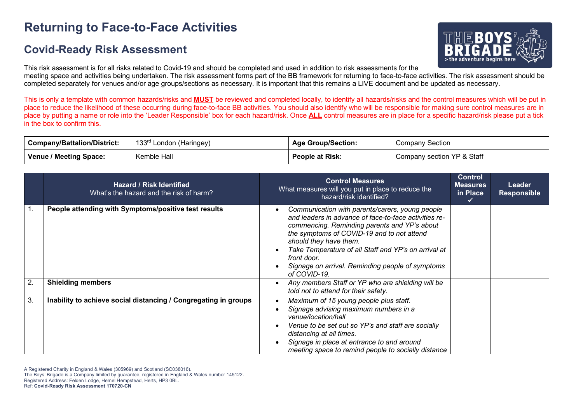# **Returning to Face-to-Face Activities**

### **Covid-Ready Risk Assessment**



This risk assessment is for all risks related to Covid-19 and should be completed and used in addition to risk assessments for the meeting space and activities being undertaken. The risk assessment forms part of the BB framework for returning to face-to-face activities. The risk assessment should be completed separately for venues and/or age groups/sections as necessary. It is important that this remains a LIVE document and be updated as necessary.

This is only a template with common hazards/risks and **MUST** be reviewed and completed locally, to identify all hazards/risks and the control measures which will be put in place to reduce the likelihood of these occurring during face-to-face BB activities. You should also identify who will be responsible for making sure control measures are in place by putting a name or role into the 'Leader Responsible' box for each hazard/risk. Once **ALL** control measures are in place for a specific hazard/risk please put a tick in the box to confirm this.

| <b>Company/Battalion/District:</b> | 133 <sup>rd</sup> London (Haringey) | <b>Age Group/Section:</b> | Company Section            |
|------------------------------------|-------------------------------------|---------------------------|----------------------------|
| Venue / Meeting Space:             | Kemble Hall                         | <b>People at Risk:</b>    | Company section YP & Staff |

|    | <b>Hazard / Risk Identified</b><br>What's the hazard and the risk of harm? | <b>Control Measures</b><br>What measures will you put in place to reduce the<br>hazard/risk identified?                                                                                                                                                                                                                                                                     | <b>Control</b><br><b>Measures</b><br>in Place | Leader<br><b>Responsible</b> |
|----|----------------------------------------------------------------------------|-----------------------------------------------------------------------------------------------------------------------------------------------------------------------------------------------------------------------------------------------------------------------------------------------------------------------------------------------------------------------------|-----------------------------------------------|------------------------------|
|    | People attending with Symptoms/positive test results                       | Communication with parents/carers, young people<br>and leaders in advance of face-to-face activities re-<br>commencing. Reminding parents and YP's about<br>the symptoms of COVID-19 and to not attend<br>should they have them.<br>Take Temperature of all Staff and YP's on arrival at<br>front door.<br>Signage on arrival. Reminding people of symptoms<br>of COVID-19. |                                               |                              |
| 2. | <b>Shielding members</b>                                                   | Any members Staff or YP who are shielding will be<br>told not to attend for their safety.                                                                                                                                                                                                                                                                                   |                                               |                              |
| 3. | Inability to achieve social distancing / Congregating in groups            | Maximum of 15 young people plus staff.<br>Signage advising maximum numbers in a<br>venue/location/hall<br>Venue to be set out so YP's and staff are socially<br>distancing at all times.<br>Signage in place at entrance to and around<br>meeting space to remind people to socially distance                                                                               |                                               |                              |

A Registered Charity in England & Wales (305969) and Scotland (SC038016).

The Boys' Brigade is a Company limited by guarantee, registered in England & Wales number 145122.

Registered Address: Felden Lodge, Hemel Hempstead, Herts, HP3 0BL.

Ref: **Covid-Ready Risk Assessment 170720-CN**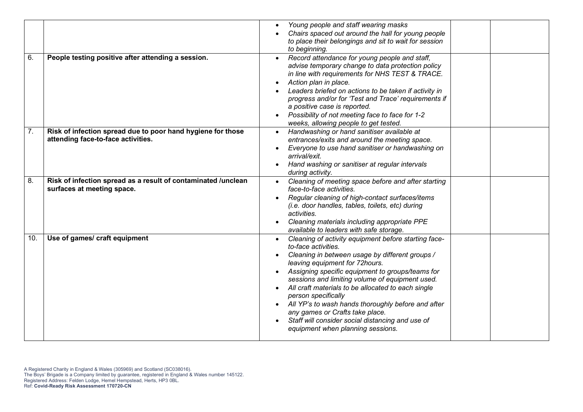|     |                                                                                                   | Young people and staff wearing masks<br>Chairs spaced out around the hall for young people<br>to place their belongings and sit to wait for session                                                                                                                                                                                                                                                                                                                                                                                                 |
|-----|---------------------------------------------------------------------------------------------------|-----------------------------------------------------------------------------------------------------------------------------------------------------------------------------------------------------------------------------------------------------------------------------------------------------------------------------------------------------------------------------------------------------------------------------------------------------------------------------------------------------------------------------------------------------|
|     |                                                                                                   | to beginning.                                                                                                                                                                                                                                                                                                                                                                                                                                                                                                                                       |
| 6.  | People testing positive after attending a session.                                                | Record attendance for young people and staff,<br>advise temporary change to data protection policy<br>in line with requirements for NHS TEST & TRACE.<br>Action plan in place.<br>Leaders briefed on actions to be taken if activity in<br>progress and/or for 'Test and Trace' requirements if<br>a positive case is reported.<br>Possibility of not meeting face to face for 1-2<br>weeks, allowing people to get tested.                                                                                                                         |
| 7.  | Risk of infection spread due to poor hand hygiene for those<br>attending face-to-face activities. | Handwashing or hand sanitiser available at<br>$\bullet$<br>entrances/exits and around the meeting space.<br>Everyone to use hand sanitiser or handwashing on<br>arrival/exit.<br>Hand washing or sanitiser at regular intervals<br>during activity.                                                                                                                                                                                                                                                                                                 |
| 8.  | Risk of infection spread as a result of contaminated /unclean<br>surfaces at meeting space.       | Cleaning of meeting space before and after starting<br>$\bullet$<br>face-to-face activities.<br>Regular cleaning of high-contact surfaces/items<br>(i.e. door handles, tables, toilets, etc) during<br>activities.<br>Cleaning materials including appropriate PPE<br>available to leaders with safe storage.                                                                                                                                                                                                                                       |
| 10. | Use of games/ craft equipment                                                                     | Cleaning of activity equipment before starting face-<br>$\bullet$<br>to-face activities.<br>Cleaning in between usage by different groups /<br>leaving equipment for 72hours.<br>Assigning specific equipment to groups/teams for<br>sessions and limiting volume of equipment used.<br>All craft materials to be allocated to each single<br>person specifically<br>All YP's to wash hands thoroughly before and after<br>any games or Crafts take place.<br>Staff will consider social distancing and use of<br>equipment when planning sessions. |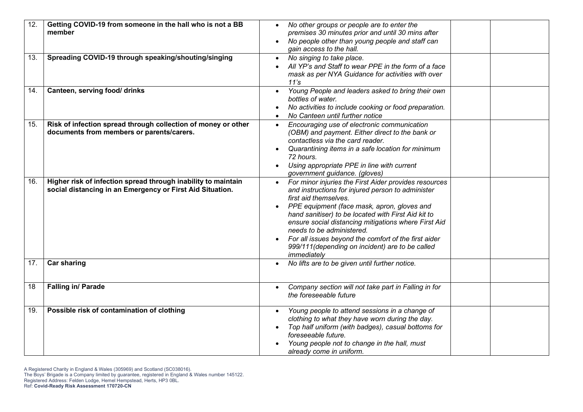| 12.<br>13. | Getting COVID-19 from someone in the hall who is not a BB<br>member<br>Spreading COVID-19 through speaking/shouting/singing | No other groups or people are to enter the<br>premises 30 minutes prior and until 30 mins after<br>No people other than young people and staff can<br>gain access to the hall.<br>No singing to take place.<br>$\bullet$                                                                                                                                                                                                                                               |
|------------|-----------------------------------------------------------------------------------------------------------------------------|------------------------------------------------------------------------------------------------------------------------------------------------------------------------------------------------------------------------------------------------------------------------------------------------------------------------------------------------------------------------------------------------------------------------------------------------------------------------|
|            |                                                                                                                             | All YP's and Staff to wear PPE in the form of a face<br>mask as per NYA Guidance for activities with over<br>11's                                                                                                                                                                                                                                                                                                                                                      |
| 14.        | Canteen, serving food/ drinks                                                                                               | Young People and leaders asked to bring their own<br>bottles of water.<br>No activities to include cooking or food preparation.<br>No Canteen until further notice                                                                                                                                                                                                                                                                                                     |
| 15.        | Risk of infection spread through collection of money or other<br>documents from members or parents/carers.                  | Encouraging use of electronic communication<br>$\bullet$<br>(OBM) and payment. Either direct to the bank or<br>contactless via the card reader.<br>Quarantining items in a safe location for minimum<br>72 hours.<br>Using appropriate PPE in line with current<br>government guidance. (gloves)                                                                                                                                                                       |
| 16.        | Higher risk of infection spread through inability to maintain<br>social distancing in an Emergency or First Aid Situation.  | For minor injuries the First Aider provides resources<br>and instructions for injured person to administer<br>first aid themselves.<br>PPE equipment (face mask, apron, gloves and<br>$\bullet$<br>hand sanitiser) to be located with First Aid kit to<br>ensure social distancing mitigations where First Aid<br>needs to be administered.<br>For all issues beyond the comfort of the first aider<br>999/111 (depending on incident) are to be called<br>immediately |
| 17.        | <b>Car sharing</b>                                                                                                          | No lifts are to be given until further notice.                                                                                                                                                                                                                                                                                                                                                                                                                         |
| 18         | Falling in/ Parade                                                                                                          | Company section will not take part in Falling in for<br>$\bullet$<br>the foreseeable future                                                                                                                                                                                                                                                                                                                                                                            |
| 19.        | Possible risk of contamination of clothing                                                                                  | Young people to attend sessions in a change of<br>$\bullet$<br>clothing to what they have worn during the day.<br>Top half uniform (with badges), casual bottoms for<br>foreseeable future.<br>Young people not to change in the hall, must<br>already come in uniform.                                                                                                                                                                                                |

A Registered Charity in England & Wales (305969) and Scotland (SC038016).

The Boys' Brigade is a Company limited by guarantee, registered in England & Wales number 145122. Registered Address: Felden Lodge, Hemel Hempstead, Herts, HP3 0BL.

Ref: **Covid-Ready Risk Assessment 170720-CN**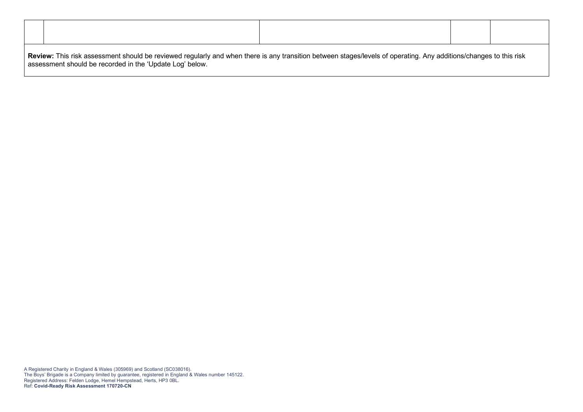| Review: This risk assessment should be reviewed regularly and when there is any transition between stages/levels of operating. Any additions/changes to this risk<br>assessment should be recorded in the 'Update Log' below. |  |  |  |  |
|-------------------------------------------------------------------------------------------------------------------------------------------------------------------------------------------------------------------------------|--|--|--|--|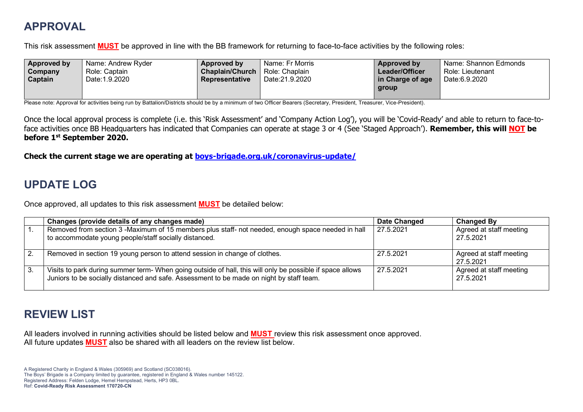## **APPROVAL**

This risk assessment **MUST** be approved in line with the BB framework for returning to face-to-face activities by the following roles:

| Approved by | Name: Andrew Ryder | Approved by            | Name: Fr Morris | Approved by      | Name: Shannon Edmonds |
|-------------|--------------------|------------------------|-----------------|------------------|-----------------------|
| Company     | Role: Captain      | <b>Chaplain/Church</b> | Role: Chaplain  | Leader/Officer   | Role: Lieutenant      |
| Captain     | Date: 1.9.2020     | Representative         | Date:21.9.2020  | in Charge of age | Date:6.9.2020         |
|             |                    |                        |                 | group            |                       |
|             |                    |                        |                 |                  |                       |

Please note: Approval for activities being run by Battalion/Districts should be by a minimum of two Officer Bearers (Secretary, President, Treasurer, Vice-President).

Once the local approval process is complete (i.e. this 'Risk Assessment' and 'Company Action Log'), you will be 'Covid-Ready' and able to return to face-toface activities once BB Headquarters has indicated that Companies can operate at stage 3 or 4 (See 'Staged Approach'). **Remember, this will NOT be before 1st September 2020.**

**Check the current stage we are operating at boys-brigade.org.uk/coronavirus-update/**

## **UPDATE LOG**

Once approved, all updates to this risk assessment **MUST** be detailed below:

|                  | Changes (provide details of any changes made)                                                                                                                                                         | Date Changed | <b>Changed By</b>                    |
|------------------|-------------------------------------------------------------------------------------------------------------------------------------------------------------------------------------------------------|--------------|--------------------------------------|
| $\overline{1}$ . | Removed from section 3 -Maximum of 15 members plus staff- not needed, enough space needed in hall<br>to accommodate young people/staff socially distanced.                                            | 27.5.2021    | Agreed at staff meeting<br>27.5.2021 |
| $\overline{2}$ . | Removed in section 19 young person to attend session in change of clothes.                                                                                                                            | 27.5.2021    | Agreed at staff meeting<br>27.5.2021 |
| l 3.             | Visits to park during summer term- When going outside of hall, this will only be possible if space allows<br>Juniors to be socially distanced and safe. Assessment to be made on night by staff team. | 27.5.2021    | Agreed at staff meeting<br>27.5.2021 |

### **REVIEW LIST**

All leaders involved in running activities should be listed below and **MUST** review this risk assessment once approved. All future updates **MUST** also be shared with all leaders on the review list below.

A Registered Charity in England & Wales (305969) and Scotland (SC038016). The Boys' Brigade is a Company limited by guarantee, registered in England & Wales number 145122. Registered Address: Felden Lodge, Hemel Hempstead, Herts, HP3 0BL. Ref: **Covid-Ready Risk Assessment 170720-CN**